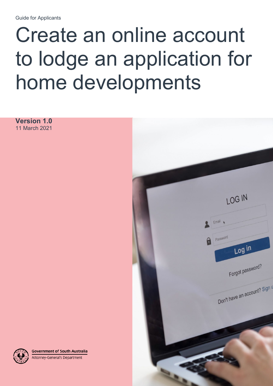# Create an online account to lodge an application for home developments

**Version 1.0** 11 March 2021





**Government of South Australia** Attorney-General's Department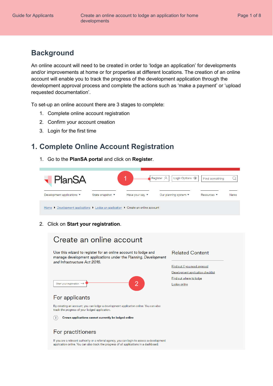## **Background**

An online account will need to be created in order to 'lodge an application' for developments and/or improvements at home or for properties at different locations. The creation of an online account will enable you to track the progress of the development application through the development approval process and complete the actions such as 'make a payment' or 'upload requested documentation'.

To set-up an online account there are 3 stages to complete:

- 1. Complete online account registration
- 2. Confirm your account creation
- 3. Login for the first time

#### **1. Complete Online Account Registration**

1. Go to the **PlanSA portal** and click on **Register**.



2. Click on **Start your registration**.

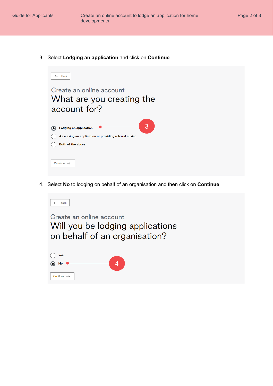3. Select **Lodging an application** and click on **Continue**.



4. Select **No** to lodging on behalf of an organisation and then click on **Continue**.

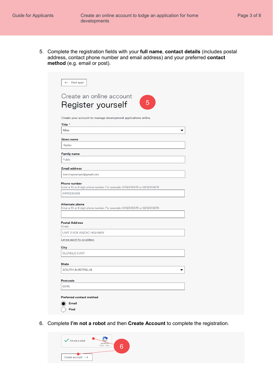5. Complete the registration fields with your **full name**, **contact details** (includes postal address, contact phone number and email address) and your preferred **contact method** (e.g. email or post).

| ← Start again                                                                                       |   |
|-----------------------------------------------------------------------------------------------------|---|
| Create an online account                                                                            |   |
| 5<br>Register yourself                                                                              |   |
|                                                                                                     |   |
| Create your account to manage development applications online.                                      |   |
| Title *<br><b>Miss</b>                                                                              | ▼ |
| Given name                                                                                          |   |
| Hayley                                                                                              |   |
| <b>Family name</b>                                                                                  |   |
| Public                                                                                              |   |
| <b>Email address</b>                                                                                |   |
| learningexample@gmail.com                                                                           |   |
| <b>Phone number</b><br>Enter a 10 or 8 digit phone number. For example: 0412345678 or 0212345678    |   |
| 0411000568                                                                                          |   |
| <b>Alternate phone</b><br>Enter a 10 or 8 digit phone number. For example: 0412345678 or 0212345678 |   |
| <b>Postal Address</b><br><b>Street</b>                                                              |   |
| UNIT 2 608 ANZAC HIGHWAY                                                                            |   |
| Let me search for an address                                                                        |   |
| City                                                                                                |   |
| <b>GLENELG EAST</b>                                                                                 |   |
| <b>State</b>                                                                                        |   |
| SOUTH AUSTRALIA                                                                                     |   |
| Postcode                                                                                            |   |
| 5045                                                                                                |   |
|                                                                                                     |   |
| <b>Preferred contact method</b>                                                                     |   |
| Email<br>Post                                                                                       |   |

6. Complete **I'm not a robot** and then **Create Account** to complete the registration.

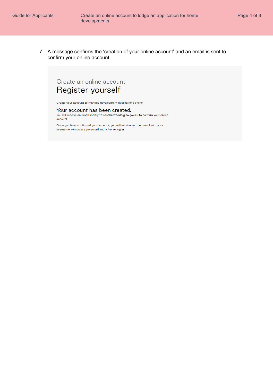7. A message confirms the 'creation of your online account' and an email is sent to confirm your online account.



Create your account to manage development applications online.

Your account has been created. You will receive an email shortly to sascha.woods@sa.gov.au to confirm your online account.

Once you have confirmed your account, you will receive another email with your username, temporary password and a link to log in.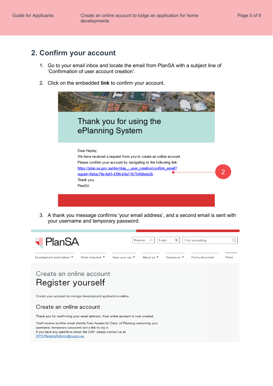### **2. Confirm your account**

- 1. Go to your email inbox and locate the email from PlanSA with a subject line of 'Confirmation of user account creation'.
- 2. Click on the embedded **link** to confirm your account.



3. A thank you message confirms 'your email address', and a second email is sent with your username and temporary password.

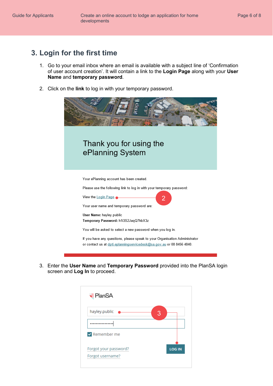## **3. Login for the first time**

- 1. Go to your email inbox where an email is available with a subject line of 'Confirmation of user account creation'. It will contain a link to the **Login Page** along with your **User Name** and **temporary password**.
- 2. Click on the **link** to log in with your temporary password.



3. Enter the **User Name** and **Temporary Password** provided into the PlanSA login screen and **Log In** to proceed.

| <b>- PlanSA</b>       |               |
|-----------------------|---------------|
| hayley.public         | 3             |
|                       |               |
| $\vee$ Remember me    |               |
| Forgot your password? | <b>LOG IN</b> |
| Forgot username?      |               |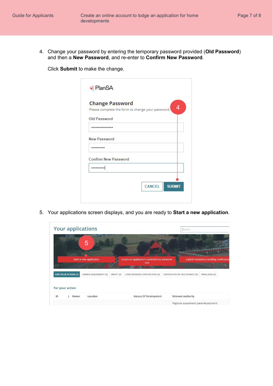Click **Submit** to make the change.

| <b>Change Password</b>      | 4<br>Please complete the form to change your password. |
|-----------------------------|--------------------------------------------------------|
| <b>Old Password</b>         |                                                        |
|                             |                                                        |
| <b>New Password</b>         |                                                        |
|                             |                                                        |
| <b>Confirm New Password</b> |                                                        |
|                             |                                                        |
|                             |                                                        |
|                             | <b>CANCEL</b><br><b>SUBMIT</b>                         |

5. Your applications screen displays, and you are ready to **Start a new application**.

|                       |                            | <b>Your applications</b>               |                      |                                                    | Search                               |                                        |
|-----------------------|----------------------------|----------------------------------------|----------------------|----------------------------------------------------|--------------------------------------|----------------------------------------|
|                       |                            | $\mathbf b$<br>Start a new application |                      | Access an application submitted by someone<br>else |                                      | Submit mandatory building notification |
|                       | <b>FOR YOUR ACTION (1)</b> | <b>UNDER ASSESSMENT (0)</b>            | DRAFT <sub>(0)</sub> | LAND DIVISION CERTIFICATES (0)                     | CERTIFICATE OF OCCUPANCY (0)         | FINALISED (0)                          |
| For your action<br>ID | Owner                      | Location                               |                      | Nature Of Development                              | <b>Relevant Authority</b>            |                                        |
|                       |                            |                                        |                      |                                                    | Regional assessment panel/Assessment |                                        |